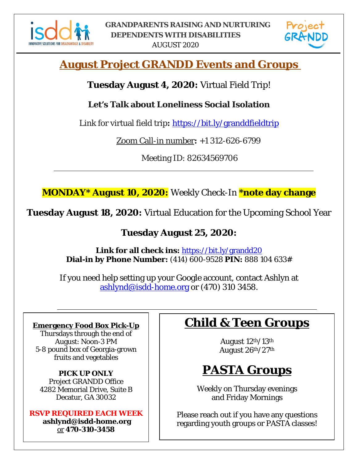



### **August Project GRANDD Events and Groups**

**Tuesday August 4, 2020:** Virtual Field Trip!

**Let's Talk about Loneliness Social Isolation**

Link for virtual field trip: <https://bit.ly/granddfieldtrip>

Zoom Call-in number**:** +1 312-626-6799

Meeting ID: 82634569706

**MONDAY\* August 10, 2020:** Weekly Check-In **\*note day change**

**Tuesday August 18, 2020:** Virtual Education for the Upcoming School Year

### **Tuesday August 25, 2020:**

**Link for all check ins:** https://bit.ly/grandd20 **Dial-in by Phone Number:** (414) 600-9528 **PIN:** 888 104 633#

If you need help setting up your Google account, contact Ashlyn at [ashlynd@isdd-home.org](mailto:ashlynd@isdd-home.org) or (470) 310 3458.

#### **Emergency Food Box Pick-Up**

Thursdays through the end of August: Noon-3 PM 5-8 pound box of Georgia-grown fruits and vegetables

#### **PICK UP ONLY**

Project GRANDD Office 4282 Memorial Drive, Suite B Decatur, GA 30032

**RSVP REQUIRED EACH WEEK ashlynd@isdd-home.org** or **470-310-3458**

## **Child & Teen Groups**

August 12th/13th August 26th/27th

## **PASTA Groups**

Weekly on Thursday evenings and Friday Mornings

Please reach out if you have any questions regarding youth groups or PASTA classes!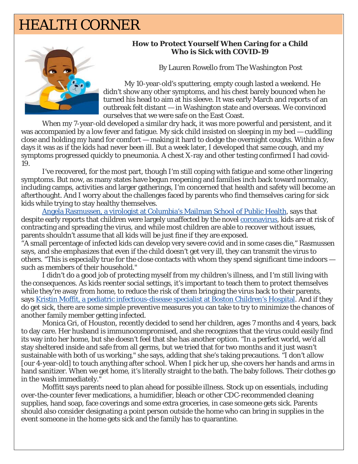## HEALTH CORNER



#### **How to Protect Yourself When Caring for a Child Who is Sick with COVID-19**

By Lauren Rowello from The Washington Post

My 10-year-old's sputtering, empty cough lasted a weekend. He didn't show any other symptoms, and his chest barely bounced when he turned his head to aim at his sleeve. It was early March and reports of an outbreak felt distant — in Washington state and overseas. We convinced ourselves that we were safe on the East Coast.

When my 7-year-old developed a similar dry hack, it was more powerful and persistent, and it was accompanied by a low fever and fatigue. My sick child insisted on sleeping in my bed — cuddling close and holding my hand for comfort — making it hard to dodge the overnight coughs. Within a few days it was as if the kids had never been ill. But a week later, I developed that same cough, and my symptoms progressed quickly to pneumonia. A chest X-ray and other testing confirmed I had covid-19.

I've recovered, for the most part, though I'm still coping with fatigue and some other lingering symptoms. But now, as many states have begun reopening and families inch back toward normalcy, including camps, activities and larger gatherings, I'm concerned that health and safety will become an afterthought. And I worry about the challenges faced by parents who find themselves caring for sick kids while trying to stay healthy themselves.

[Angela Rasmussen, a virologist at Columbia's Mailman School of Public Health,](https://www.publichealth.columbia.edu/research/center-infection-and-immunity/angela-rasmussen-phd) says that despite early reports that children were largely unaffected by the novel [coronavirus,](https://www.washingtonpost.com/health/2020/02/28/what-you-need-know-about-coronavirus/?itid=lk_inline_manual_8) kids are at risk of contracting and spreading the virus, and while most children are able to recover without issues, parents shouldn't assume that all kids will be just fine if they are exposed.

"A small percentage of infected kids can develop very severe covid and in some cases die," Rasmussen says, and she emphasizes that even if the child doesn't get very ill, they can transmit the virus to others. "This is especially true for the close contacts with whom they spend significant time indoors such as members of their household."

I didn't do a good job of protecting myself from my children's illness, and I'm still living with the consequences. As kids reenter social settings, it's important to teach them to protect themselves while they're away from home, to reduce the risk of them bringing the virus back to their parents, says [Kristin Moffit, a pediatric infectious-disease specialist at Boston Children's Hospital.](http://www.childrenshospital.org/directory/physicians/m/kristin-moffitt) And if they do get sick, there are some simple preventive measures you can take to try to minimize the chances of another family member getting infected.

Monica Gri, of Houston, recently decided to send her children, ages 7 months and 4 years, back to day care. Her husband is immunocompromised, and she recognizes that the virus could easily find its way into her home, but she doesn't feel that she has another option. "In a perfect world, we'd all stay sheltered inside and safe from all germs, but we tried that for two months and it just wasn't sustainable with both of us working," she says, adding that she's taking precautions. "I don't allow [our 4-year-old] to touch anything after school. When I pick her up, she covers her hands and arms in hand sanitizer. When we get home, it's literally straight to the bath. The baby follows. Their clothes go in the wash immediately."

Moffitt says parents need to plan ahead for possible illness. Stock up on essentials, including over-the-counter fever medications, a humidifier, bleach or other CDC-recommended cleaning supplies, hand soap, face coverings and some extra groceries, in case someone gets sick. Parents should also consider designating a point person outside the home who can bring in supplies in the event someone in the home gets sick and the family has to quarantine.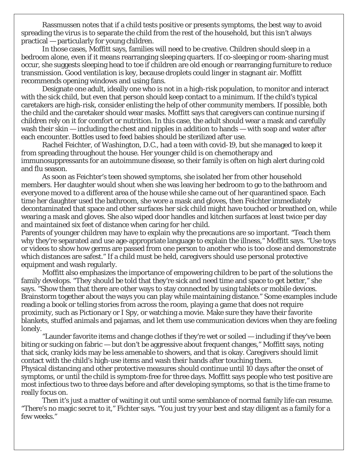Rassmussen notes that if a child tests positive or presents symptoms, the best way to avoid spreading the virus is to separate the child from the rest of the household, but this isn't always practical — particularly for young children.

In those cases, Moffitt says, families will need to be creative. Children should sleep in a bedroom alone, even if it means rearranging sleeping quarters. If co-sleeping or room-sharing must occur, she suggests sleeping head to toe if children are old enough or rearranging furniture to reduce transmission. Good ventilation is key, because droplets could linger in stagnant air. Moffitt recommends opening windows and using fans.

Designate one adult, ideally one who is not in a high-risk population, to monitor and interact with the sick child, but even that person should keep contact to a minimum. If the child's typical caretakers are high-risk, consider enlisting the help of other community members. If possible, both the child and the caretaker should wear masks*.* Moffitt says that caregivers can continue nursing if children rely on it for comfort or nutrition. In this case, the adult should wear a mask and carefully wash their skin — including the chest and nipples in addition to hands — with soap and water after each encounter. Bottles used to feed babies should be sterilized after use.

Rachel Feichter, of Washington, D.C., had a teen with covid-19, but she managed to keep it from spreading throughout the house. Her younger child is on chemotherapy and immunosuppressants for an autoimmune disease, so their family is often on high alert during cold and flu season.

As soon as Feichter's teen showed symptoms, she isolated her from other household members*.* Her daughter would shout when she was leaving her bedroom to go to the bathroom and everyone moved to a different area of the house while she came out of her quarantined space. Each time her daughter used the bathroom, she wore a mask and gloves, then Feichter immediately decontaminated that space and other surfaces her sick child might have touched or breathed on, while wearing a mask and gloves. She also wiped door handles and kitchen surfaces at least twice per day and maintained six feet of distance when caring for her child.

Parents of younger children may have to explain why the precautions are so important. "Teach them why they're separated and use age-appropriate language to explain the illness," Moffitt says. "Use toys or videos to show how germs are passed from one person to another who is too close and demonstrate which distances are safest." If a child must be held, caregivers should use personal protective equipment and wash regularly.

Moffitt also emphasizes the importance of empowering children to be part of the solutions the family develops. "They should be told that they're sick and need time and space to get better," she says. "Show them that there are other ways to stay connected by using tablets or mobile devices. Brainstorm together about the ways you can play while maintaining distance." Some examples include reading a book or telling stories from across the room, playing a game that does not require proximity, such as Pictionary or I Spy, or watching a movie. Make sure they have their favorite blankets, stuffed animals and pajamas, and let them use communication devices when they are feeling lonely.

"Launder favorite items and change clothes if they're wet or soiled — including if they've been biting or sucking on fabric — but don't be aggressive about frequent changes," Moffitt says, noting that sick, cranky kids may be less amenable to showers, and that is okay. Caregivers should limit contact with the child's high-use items and wash their hands after touching them.

Physical distancing and other protective measures should continue until 10 days after the onset of symptoms, or until the child is symptom-free for three days. Moffitt says people who test positive are most infectious two to three days before and after developing symptoms, so that is the time frame to really focus on.

Then it's just a matter of waiting it out until some semblance of normal family life can resume. "There's no magic secret to it," Fichter says. "You just try your best and stay diligent as a family for a few weeks."